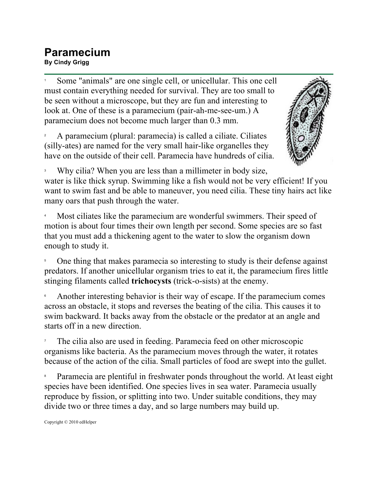## **Paramecium By Cindy Grigg**

1 Some "animals" are one single cell, or unicellular. This one cell must contain everything needed for survival. They are too small to be seen without a microscope, but they are fun and interesting to look at. One of these is a paramecium (pair-ah-me-see-um.) A paramecium does not become much larger than 0.3 mm.

2 A paramecium (plural: paramecia) is called a ciliate. Ciliates (silly-ates) are named for the very small hair-like organelles they have on the outside of their cell. Paramecia have hundreds of cilia.



3 Why cilia? When you are less than a millimeter in body size, water is like thick syrup. Swimming like a fish would not be very efficient! If you want to swim fast and be able to maneuver, you need cilia. These tiny hairs act like many oars that push through the water.

4 Most ciliates like the paramecium are wonderful swimmers. Their speed of motion is about four times their own length per second. Some species are so fast that you must add a thickening agent to the water to slow the organism down enough to study it.

5 One thing that makes paramecia so interesting to study is their defense against predators. If another unicellular organism tries to eat it, the paramecium fires little stinging filaments called **trichocysts** (trick-o-sists) at the enemy.

6 Another interesting behavior is their way of escape. If the paramecium comes across an obstacle, it stops and reverses the beating of the cilia. This causes it to swim backward. It backs away from the obstacle or the predator at an angle and starts off in a new direction.

7 The cilia also are used in feeding. Paramecia feed on other microscopic organisms like bacteria. As the paramecium moves through the water, it rotates because of the action of the cilia. Small particles of food are swept into the gullet.

8 Paramecia are plentiful in freshwater ponds throughout the world. At least eight species have been identified. One species lives in sea water. Paramecia usually reproduce by fission, or splitting into two. Under suitable conditions, they may divide two or three times a day, and so large numbers may build up.

Copyright © 2010 edHelper